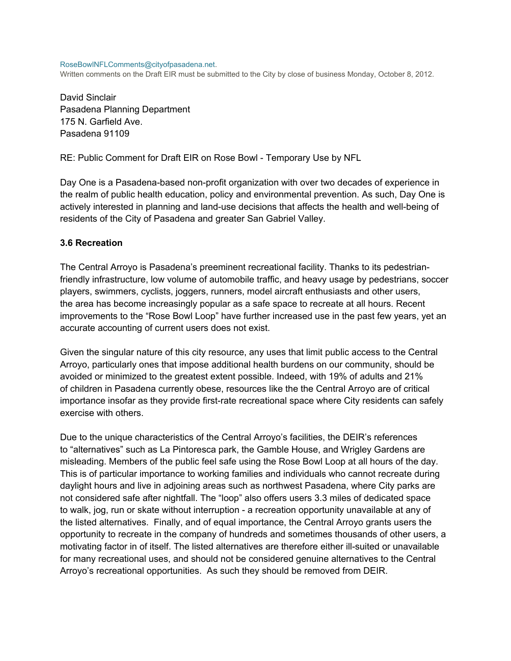#### RoseBowlNFLComments@cityofpasadena.net.

Written comments on the Draft EIR must be submitted to the City by close of business Monday, October 8, 2012.

David Sinclair Pasadena Planning Department 175 N. Garfield Ave. Pasadena 91109

RE: Public Comment for Draft EIR on Rose Bowl - Temporary Use by NFL

Day One is a Pasadena-based non-profit organization with over two decades of experience in the realm of public health education, policy and environmental prevention. As such, Day One is actively interested in planning and land-use decisions that affects the health and well-being of residents of the City of Pasadena and greater San Gabriel Valley.

#### **3.6 Recreation**

The Central Arroyo is Pasadena's preeminent recreational facility. Thanks to its pedestrianfriendly infrastructure, low volume of automobile traffic, and heavy usage by pedestrians, soccer players, swimmers, cyclists, joggers, runners, model aircraft enthusiasts and other users, the area has become increasingly popular as a safe space to recreate at all hours. Recent improvements to the "Rose Bowl Loop" have further increased use in the past few years, yet an accurate accounting of current users does not exist.

Given the singular nature of this city resource, any uses that limit public access to the Central Arroyo, particularly ones that impose additional health burdens on our community, should be avoided or minimized to the greatest extent possible. Indeed, with 19% of adults and 21% of children in Pasadena currently obese, resources like the the Central Arroyo are of critical importance insofar as they provide first-rate recreational space where City residents can safely exercise with others.

Due to the unique characteristics of the Central Arroyo's facilities, the DEIR's references to "alternatives" such as La Pintoresca park, the Gamble House, and Wrigley Gardens are misleading. Members of the public feel safe using the Rose Bowl Loop at all hours of the day. This is of particular importance to working families and individuals who cannot recreate during daylight hours and live in adjoining areas such as northwest Pasadena, where City parks are not considered safe after nightfall. The "loop" also offers users 3.3 miles of dedicated space to walk, jog, run or skate without interruption - a recreation opportunity unavailable at any of the listed alternatives. Finally, and of equal importance, the Central Arroyo grants users the opportunity to recreate in the company of hundreds and sometimes thousands of other users, a motivating factor in of itself. The listed alternatives are therefore either ill-suited or unavailable for many recreational uses, and should not be considered genuine alternatives to the Central Arroyo's recreational opportunities. As such they should be removed from DEIR.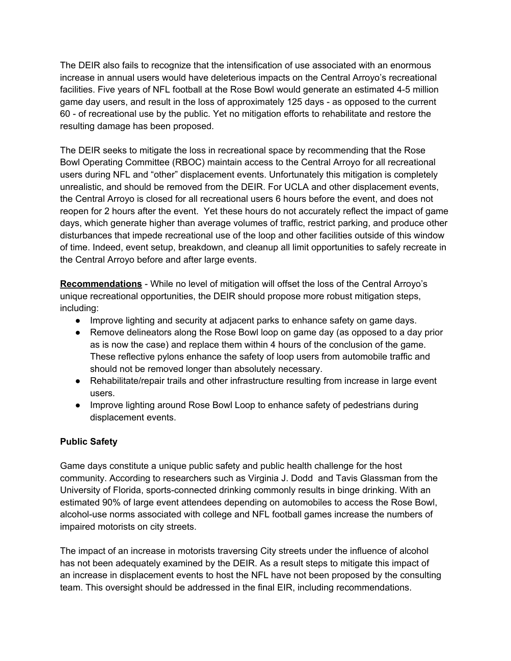The DEIR also fails to recognize that the intensification of use associated with an enormous increase in annual users would have deleterious impacts on the Central Arroyo's recreational facilities. Five years of NFL football at the Rose Bowl would generate an estimated 4-5 million game day users, and result in the loss of approximately 125 days - as opposed to the current 60 - of recreational use by the public. Yet no mitigation efforts to rehabilitate and restore the resulting damage has been proposed.

The DEIR seeks to mitigate the loss in recreational space by recommending that the Rose Bowl Operating Committee (RBOC) maintain access to the Central Arroyo for all recreational users during NFL and "other" displacement events. Unfortunately this mitigation is completely unrealistic, and should be removed from the DEIR. For UCLA and other displacement events, the Central Arroyo is closed for all recreational users 6 hours before the event, and does not reopen for 2 hours after the event. Yet these hours do not accurately reflect the impact of game days, which generate higher than average volumes of traffic, restrict parking, and produce other disturbances that impede recreational use of the loop and other facilities outside of this window of time. Indeed, event setup, breakdown, and cleanup all limit opportunities to safely recreate in the Central Arroyo before and after large events.

**Recommendations** - While no level of mitigation will offset the loss of the Central Arroyo's unique recreational opportunities, the DEIR should propose more robust mitigation steps, including:

- Improve lighting and security at adjacent parks to enhance safety on game days.
- Remove delineators along the Rose Bowl loop on game day (as opposed to a day prior as is now the case) and replace them within 4 hours of the conclusion of the game. These reflective pylons enhance the safety of loop users from automobile traffic and should not be removed longer than absolutely necessary.
- Rehabilitate/repair trails and other infrastructure resulting from increase in large event users.
- Improve lighting around Rose Bowl Loop to enhance safety of pedestrians during displacement events.

## **Public Safety**

Game days constitute a unique public safety and public health challenge for the host community. According to researchers such as Virginia J. Dodd and Tavis Glassman from the University of Florida, sports-connected drinking commonly results in binge drinking. With an estimated 90% of large event attendees depending on automobiles to access the Rose Bowl, alcohol-use norms associated with college and NFL football games increase the numbers of impaired motorists on city streets.

The impact of an increase in motorists traversing City streets under the influence of alcohol has not been adequately examined by the DEIR. As a result steps to mitigate this impact of an increase in displacement events to host the NFL have not been proposed by the consulting team. This oversight should be addressed in the final EIR, including recommendations.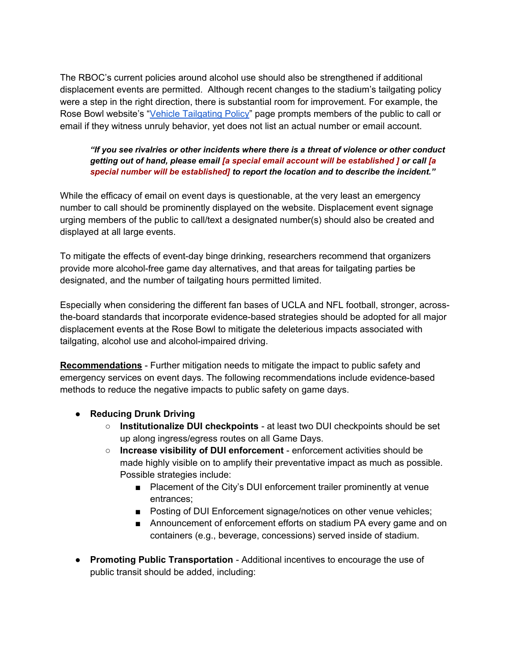The RBOC's current policies around alcohol use should also be strengthened if additional displacement events are permitted. Although recent changes to the stadium's tailgating policy were a step in the right direction, there is substantial room for improvement. For example, the Rose Bowl website's "[Vehicle](http://www.rosebowlstadium.com/RoseBowl_tailgating.php) [Tailgating](http://www.rosebowlstadium.com/RoseBowl_tailgating.php) [Policy"](http://www.rosebowlstadium.com/RoseBowl_tailgating.php) page prompts members of the public to call or email if they witness unruly behavior, yet does not list an actual number or email account.

### *"If you see rivalries or other incidents where there is a threat of violence or other conduct getting out of hand, please email [a special email account will be established ] or call [a special number will be established] to report the location and to describe the incident."*

While the efficacy of email on event days is questionable, at the very least an emergency number to call should be prominently displayed on the website. Displacement event signage urging members of the public to call/text a designated number(s) should also be created and displayed at all large events.

To mitigate the effects of event-day binge drinking, researchers recommend that organizers provide more alcohol-free game day alternatives, and that areas for tailgating parties be designated, and the number of tailgating hours permitted limited.

Especially when considering the different fan bases of UCLA and NFL football, stronger, acrossthe-board standards that incorporate evidence-based strategies should be adopted for all major displacement events at the Rose Bowl to mitigate the deleterious impacts associated with tailgating, alcohol use and alcohol-impaired driving.

**Recommendations** - Further mitigation needs to mitigate the impact to public safety and emergency services on event days. The following recommendations include evidence-based methods to reduce the negative impacts to public safety on game days.

- **Reducing Drunk Driving** 
	- **Institutionalize DUI checkpoints**  at least two DUI checkpoints should be set up along ingress/egress routes on all Game Days.
	- **Increase visibility of DUI enforcement**  enforcement activities should be made highly visible on to amplify their preventative impact as much as possible. Possible strategies include:
		- Placement of the City's DUI enforcement trailer prominently at venue entrances;
		- Posting of DUI Enforcement signage/notices on other venue vehicles;
		- Announcement of enforcement efforts on stadium PA every game and on containers (e.g., beverage, concessions) served inside of stadium.
- **Promoting Public Transportation**  Additional incentives to encourage the use of public transit should be added, including: